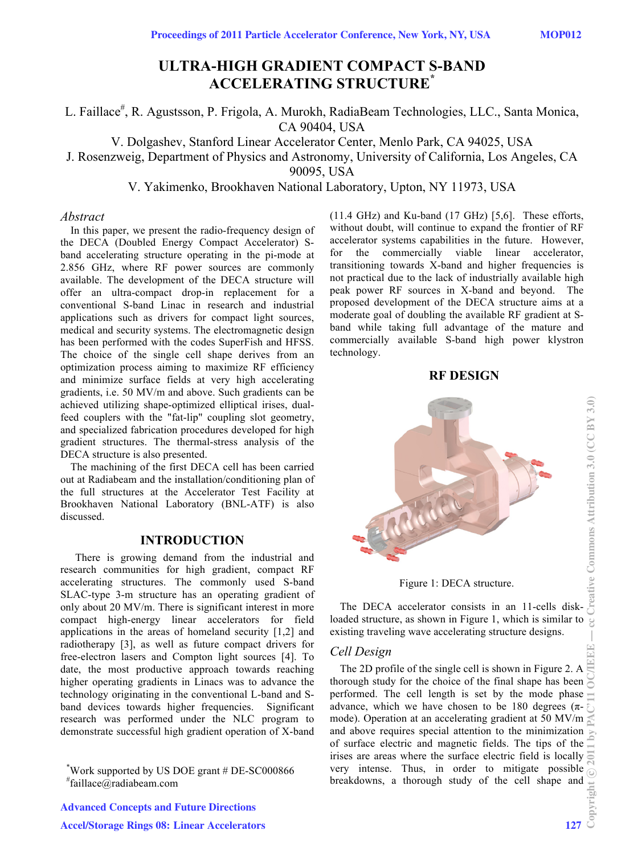# **ULTRA-HIGH GRADIENT COMPACT S-BAND ACCELERATING STRUCTURE\***

L. Faillace<sup>#</sup>, R. Agustsson, P. Frigola, A. Murokh, RadiaBeam Technologies, LLC., Santa Monica, CA 90404, USA

V. Dolgashev, Stanford Linear Accelerator Center, Menlo Park, CA 94025, USA

J. Rosenzweig, Department of Physics and Astronomy, University of California, Los Angeles, CA

90095, USA

V. Yakimenko, Brookhaven National Laboratory, Upton, NY 11973, USA

#### *Abstract*

In this paper, we present the radio-frequency design of the DECA (Doubled Energy Compact Accelerator) Sband accelerating structure operating in the pi-mode at 2.856 GHz, where RF power sources are commonly available. The development of the DECA structure will offer an ultra-compact drop-in replacement for a conventional S-band Linac in research and industrial applications such as drivers for compact light sources, medical and security systems. The electromagnetic design has been performed with the codes SuperFish and HFSS. The choice of the single cell shape derives from an optimization process aiming to maximize RF efficiency and minimize surface fields at very high accelerating gradients, i.e. 50 MV/m and above. Such gradients can be achieved utilizing shape-optimized elliptical irises, dualfeed couplers with the "fat-lip" coupling slot geometry, and specialized fabrication procedures developed for high gradient structures. The thermal-stress analysis of the DECA structure is also presented.

The machining of the first DECA cell has been carried out at Radiabeam and the installation/conditioning plan of the full structures at the Accelerator Test Facility at Brookhaven National Laboratory (BNL-ATF) is also discussed.

## **INTRODUCTION**

There is growing demand from the industrial and research communities for high gradient, compact RF accelerating structures. The commonly used S-band SLAC-type 3-m structure has an operating gradient of only about 20 MV/m. There is significant interest in more compact high-energy linear accelerators for field applications in the areas of homeland security [1,2] and radiotherapy [3], as well as future compact drivers for free-electron lasers and Compton light sources [4]. To date, the most productive approach towards reaching higher operating gradients in Linacs was to advance the technology originating in the conventional L-band and Sband devices towards higher frequencies. Significant research was performed under the NLC program to demonstrate successful high gradient operation of X-band

\* Work supported by US DOE grant # DE-SC000866 # faillace@radiabeam.com

(11.4 GHz) and Ku-band (17 GHz) [5,6]. These efforts, without doubt, will continue to expand the frontier of RF accelerator systems capabilities in the future. However, for the commercially viable linear accelerator, transitioning towards X-band and higher frequencies is not practical due to the lack of industrially available high peak power RF sources in X-band and beyond. The proposed development of the DECA structure aims at a moderate goal of doubling the available RF gradient at Sband while taking full advantage of the mature and commercially available S-band high power klystron technology.

**RF DESIGN** 



Figure 1: DECA structure.

The DECA accelerator consists in an 11-cells diskloaded structure, as shown in Figure 1, which is similar to  $\frac{8}{5}$ existing traveling wave accelerating structure designs.

## *Cell Design*

The 2D profile of the single cell is shown in Figure 2. A  $\Box$ thorough study for the choice of the final shape has been performed. The cell length is set by the mode phase  $\overline{a}$ advance, which we have chosen to be 180 degrees  $(\pi$ mode). Operation at an accelerating gradient at 50 MV/m and above requires special attention to the minimization  $\mathbb{R}$ of surface electric and magnetic fields. The tips of the  $\equiv$ irises are areas where the surface electric field is locally very intense. Thus, in order to mitigate possible  $\bigcirc$ breakdowns, a thorough study of the cell shape and  $\frac{12}{25}$ <br> $\frac{127}{25}$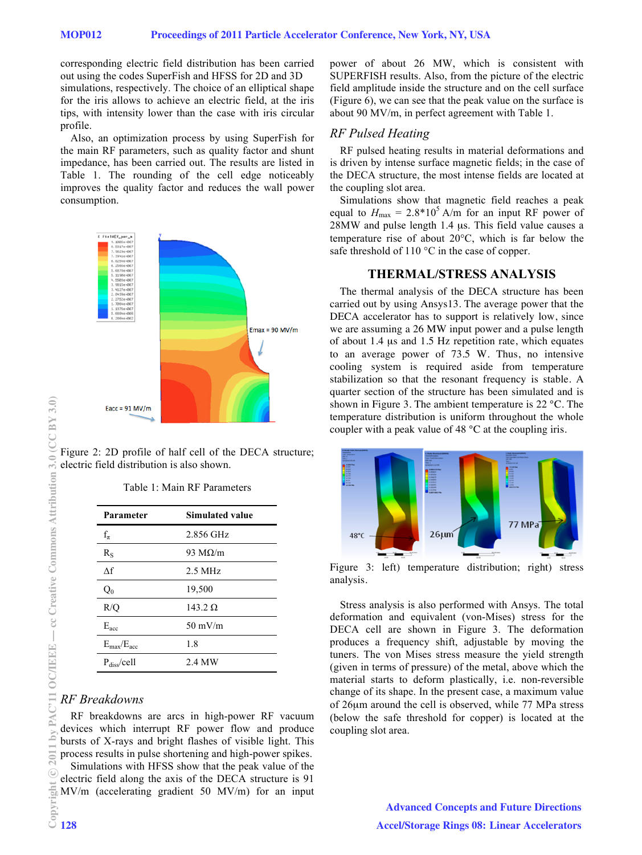corresponding electric field distribution has been carried out using the codes SuperFish and HFSS for 2D and 3D simulations, respectively. The choice of an elliptical shape for the iris allows to achieve an electric field, at the iris tips, with intensity lower than the case with iris circular profile.

Also, an optimization process by using SuperFish for the main RF parameters, such as quality factor and shunt impedance, has been carried out. The results are listed in Table 1. The rounding of the cell edge noticeably improves the quality factor and reduces the wall power consumption.



Figure 2: 2D profile of half cell of the DECA structure; electric field distribution is also shown.

|  |  |  |  | Table 1: Main RF Parameters |
|--|--|--|--|-----------------------------|
|--|--|--|--|-----------------------------|

| Parameter                 | <b>Simulated value</b> |  |  |
|---------------------------|------------------------|--|--|
| $f_{\pi}$                 | 2.856 GHz              |  |  |
| $R_{S}$                   | 93 M $\Omega/m$        |  |  |
| $\Delta f$                | $2.5$ MHz              |  |  |
| $Q_0$                     | 19,500                 |  |  |
| R/Q                       | 143.2 $\Omega$         |  |  |
| $E_{\text{acc}}$          | $50 \text{ mV/m}$      |  |  |
| $E_{\rm max}/E_{\rm acc}$ | 1.8                    |  |  |
| $P_{\rm diss}/cell$       | 2.4 MW                 |  |  |

# *RF Breakdowns*

RF breakdowns are arcs in high-power RF vacuum devices which interrupt RF power flow and produce bursts of X-rays and bright flashes of visible light. This process results in pulse shortening and high-power spikes. Simulations with HFSS show that the peak value of the electric field along the axis of the DECA structure is 91 MV/m (accelerating gradient 50 MV/m) for an input power of about 26 MW, which is consistent with SUPERFISH results. Also, from the picture of the electric field amplitude inside the structure and on the cell surface (Figure  $\overline{6}$ ), we can see that the peak value on the surface is about 90 MV/m, in perfect agreement with Table 1.

## *RF Pulsed Heating*

RF pulsed heating results in material deformations and is driven by intense surface magnetic fields; in the case of the DECA structure, the most intense fields are located at the coupling slot area.

Simulations show that magnetic field reaches a peak equal to  $H_{\text{max}} = 2.8*10^5$  A/m for an input RF power of 28MW and pulse length 1.4 μs. This field value causes a temperature rise of about 20°C, which is far below the safe threshold of 110 °C in the case of copper.

#### **THERMAL/STRESS ANALYSIS**

The thermal analysis of the DECA structure has been carried out by using Ansys13. The average power that the DECA accelerator has to support is relatively low, since we are assuming a 26 MW input power and a pulse length of about 1.4 μs and 1.5 Hz repetition rate, which equates to an average power of 73.5 W. Thus, no intensive cooling system is required aside from temperature stabilization so that the resonant frequency is stable. A quarter section of the structure has been simulated and is shown in Figure 3. The ambient temperature is 22 °C. The temperature distribution is uniform throughout the whole coupler with a peak value of 48 °C at the coupling iris.



Figure 3: left) temperature distribution; right) stress analysis.

Stress analysis is also performed with Ansys. The total deformation and equivalent (von-Mises) stress for the DECA cell are shown in Figure 3. The deformation produces a frequency shift, adjustable by moving the tuners. The von Mises stress measure the yield strength (given in terms of pressure) of the metal, above which the material starts to deform plastically, i.e. non-reversible change of its shape. In the present case, a maximum value of 26μm around the cell is observed, while 77 MPa stress (below the safe threshold for copper) is located at the coupling slot area.

> Advanced Concepts and Future Directions Accel/Storage Rings 08: Linear Accelerators